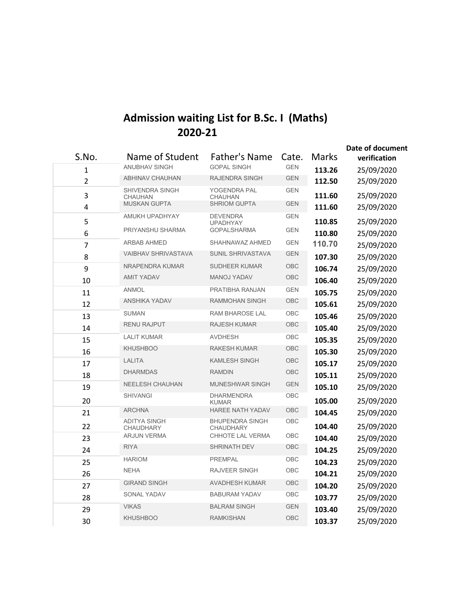## **Admission waiting List for B.Sc. I (Maths) 2020-21**

| S.No.<br>1          | Name of Student<br><b>ANUBHAV SINGH</b>                         | <b>Father's Name</b><br><b>GOPAL SINGH</b>                        | Cate.<br><b>GEN</b>      | <b>Marks</b><br>113.26 | Date of document<br>verification<br>25/09/2020 |
|---------------------|-----------------------------------------------------------------|-------------------------------------------------------------------|--------------------------|------------------------|------------------------------------------------|
| $\overline{2}$      | <b>ABHINAV CHAUHAN</b>                                          | <b>RAJENDRA SINGH</b>                                             | <b>GEN</b>               | 112.50                 | 25/09/2020                                     |
| 3<br>$\overline{4}$ | <b>SHIVENDRA SINGH</b><br><b>CHAUHAN</b><br><b>MUSKAN GUPTA</b> | <b>YOGENDRA PAL</b><br>CHAUHAN<br><b>SHRIOM GUPTA</b>             | <b>GEN</b><br><b>GEN</b> | 111.60<br>111.60       | 25/09/2020<br>25/09/2020                       |
| 5<br>6              | AMUKH UPADHYAY<br>PRIYANSHU SHARMA                              | <b>DEVENDRA</b><br><b>UPADHYAY</b><br><b>GOPALSHARMA</b>          | <b>GEN</b><br><b>GEN</b> | 110.85<br>110.80       | 25/09/2020<br>25/09/2020                       |
| $\overline{7}$      | ARBAB AHMED                                                     | SHAHNAWAZ AHMED                                                   | <b>GEN</b>               | 110.70                 | 25/09/2020                                     |
| 8                   | <b>VAIBHAV SHRIVASTAVA</b>                                      | SUNIL SHRIVASTAVA                                                 | <b>GEN</b>               | 107.30                 | 25/09/2020                                     |
| 9                   | NRAPENDRA KUMAR                                                 | <b>SUDHEER KUMAR</b>                                              | OBC                      | 106.74                 | 25/09/2020                                     |
| 10                  | <b>AMIT YADAV</b>                                               | <b>MANOJ YADAV</b>                                                | OBC                      | 106.40                 | 25/09/2020                                     |
| 11                  | <b>ANMOL</b>                                                    | PRATIBHA RANJAN                                                   | <b>GEN</b>               | 105.75                 | 25/09/2020                                     |
| 12                  | <b>ANSHIKA YADAV</b>                                            | RAMMOHAN SINGH                                                    | OBC                      | 105.61                 | 25/09/2020                                     |
| 13                  | <b>SUMAN</b>                                                    | <b>RAM BHAROSE LAL</b>                                            | OBC                      | 105.46                 | 25/09/2020                                     |
| 14                  | <b>RENU RAJPUT</b>                                              | <b>RAJESH KUMAR</b>                                               | OBC                      | 105.40                 | 25/09/2020                                     |
| 15                  | <b>LALIT KUMAR</b>                                              | <b>AVDHESH</b>                                                    | OBC                      | 105.35                 | 25/09/2020                                     |
| 16                  | <b>KHUSHBOO</b>                                                 | <b>RAKESH KUMAR</b>                                               | <b>OBC</b>               | 105.30                 | 25/09/2020                                     |
| 17                  | <b>LALITA</b>                                                   | <b>KAMLESH SINGH</b>                                              | <b>OBC</b>               | 105.17                 | 25/09/2020                                     |
| 18                  | <b>DHARMDAS</b>                                                 | <b>RAMDIN</b>                                                     | OBC                      | 105.11                 | 25/09/2020                                     |
| 19                  | <b>NEELESH CHAUHAN</b>                                          | <b>MUNESHWAR SINGH</b>                                            | <b>GEN</b>               | 105.10                 | 25/09/2020                                     |
| 20                  | <b>SHIVANGI</b>                                                 | <b>DHARMENDRA</b>                                                 | OBC                      | 105.00                 | 25/09/2020                                     |
| 21                  | <b>ARCHNA</b><br><b>ADITYA SINGH</b>                            | <b>KUMAR</b><br><b>HAREE NATH YADAV</b><br><b>BHUPENDRA SINGH</b> | OBC<br>OBC               | 104.45                 | 25/09/2020                                     |
| 22                  | <b>CHAUDHARY</b>                                                | <b>CHAUDHARY</b>                                                  | OBC                      | 104.40                 | 25/09/2020                                     |
| 23                  | <b>ARJUN VERMA</b>                                              | CHHOTE LAL VERMA                                                  |                          | 104.40                 | 25/09/2020                                     |
| 24                  | <b>RIYA</b>                                                     | <b>SHRINATH DEV</b>                                               | OBC                      | 104.25                 | 25/09/2020                                     |
| 25                  | <b>HARIOM</b>                                                   | <b>PREMPAL</b>                                                    | OBC                      | 104.23                 | 25/09/2020                                     |
| 26                  | <b>NEHA</b>                                                     | RAJVEER SINGH                                                     | OBC                      | 104.21                 | 25/09/2020                                     |
| 27                  | <b>GIRAND SINGH</b>                                             | <b>AVADHESH KUMAR</b>                                             | OBC                      | 104.20                 | 25/09/2020                                     |
| 28                  | <b>SONAL YADAV</b><br><b>VIKAS</b>                              | <b>BABURAM YADAV</b><br><b>BALRAM SINGH</b>                       | OBC<br><b>GEN</b>        | 103.77                 | 25/09/2020                                     |
| 29<br>30            | <b>KHUSHBOO</b>                                                 | <b>RAMKISHAN</b>                                                  | OBC                      | 103.40<br>103.37       | 25/09/2020<br>25/09/2020                       |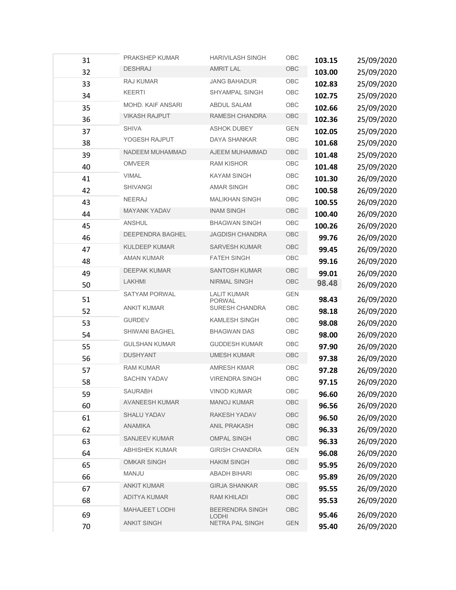| 31 | PRAKSHEP KUMAR        | <b>HARIVILASH SINGH</b>                | OBC         | 103.15 | 25/09/2020 |
|----|-----------------------|----------------------------------------|-------------|--------|------------|
| 32 | <b>DESHRAJ</b>        | <b>AMRIT LAL</b>                       | OBC         | 103.00 | 25/09/2020 |
| 33 | RAJ KUMAR             | <b>JANG BAHADUR</b>                    | OBC         | 102.83 | 25/09/2020 |
| 34 | <b>KEERTI</b>         | SHYAMPAL SINGH                         | OBC         | 102.75 | 25/09/2020 |
| 35 | MOHD. KAIF ANSARI     | <b>ABDUL SALAM</b>                     | OBC         | 102.66 | 25/09/2020 |
| 36 | <b>VIKASH RAJPUT</b>  | RAMESH CHANDRA                         | OBC         | 102.36 | 25/09/2020 |
| 37 | <b>SHIVA</b>          | <b>ASHOK DUBEY</b>                     | <b>GEN</b>  | 102.05 | 25/09/2020 |
| 38 | YOGESH RAJPUT         | DAYA SHANKAR                           | OBC         | 101.68 | 25/09/2020 |
| 39 | NADEEM MUHAMMAD       | AJEEM MUHAMMAD                         | <b>OBC</b>  | 101.48 | 25/09/2020 |
| 40 | <b>OMVEER</b>         | <b>RAM KISHOR</b>                      | OBC         | 101.48 | 25/09/2020 |
| 41 | <b>VIMAL</b>          | <b>KAYAM SINGH</b>                     | OBC         | 101.30 | 26/09/2020 |
| 42 | <b>SHIVANGI</b>       | <b>AMAR SINGH</b>                      | OBC         | 100.58 | 26/09/2020 |
| 43 | <b>NEERAJ</b>         | <b>MALIKHAN SINGH</b>                  | OBC         | 100.55 | 26/09/2020 |
| 44 | MAYANK YADAV          | <b>INAM SINGH</b>                      | OBC         | 100.40 | 26/09/2020 |
| 45 | ANSHUL                | <b>BHAGWAN SINGH</b>                   | OBC         | 100.26 | 26/09/2020 |
| 46 | DEEPENDRA BAGHEL      | <b>JAGDISH CHANDRA</b>                 | OBC         | 99.76  | 26/09/2020 |
| 47 | <b>KULDEEP KUMAR</b>  | <b>SARVESH KUMAR</b>                   | OBC         | 99.45  | 26/09/2020 |
| 48 | <b>AMAN KUMAR</b>     | <b>FATEH SINGH</b>                     | OBC         | 99.16  | 26/09/2020 |
| 49 | <b>DEEPAK KUMAR</b>   | <b>SANTOSH KUMAR</b>                   | OBC         | 99.01  | 26/09/2020 |
| 50 | LAKHMI                | NIRMAL SINGH                           | OBC         | 98.48  | 26/09/2020 |
| 51 | SATYAM PORWAL         | <b>LALIT KUMAR</b><br><b>PORWAL</b>    | <b>GEN</b>  | 98.43  | 26/09/2020 |
| 52 | <b>ANKIT KUMAR</b>    | SURESH CHANDRA                         | OBC         | 98.18  | 26/09/2020 |
| 53 | <b>GURDEV</b>         | <b>KAMLESH SINGH</b>                   | OBC         | 98.08  | 26/09/2020 |
| 54 | SHIWANI BAGHEL        | <b>BHAGWAN DAS</b>                     | OBC         | 98.00  | 26/09/2020 |
| 55 | <b>GULSHAN KUMAR</b>  | <b>GUDDESH KUMAR</b>                   | OBC         | 97.90  | 26/09/2020 |
| 56 | <b>DUSHYANT</b>       | <b>UMESH KUMAR</b>                     | OBC         | 97.38  | 26/09/2020 |
| 57 | <b>RAM KUMAR</b>      | <b>AMRESH KMAR</b>                     | OBC         | 97.28  | 26/09/2020 |
| 58 | <b>SACHIN YADAV</b>   | <b>VIRENDRA SINGH</b>                  | OBC         | 97.15  | 26/09/2020 |
| 59 | SAURABH               | <b>VINOD KUMAR</b>                     | OBC         | 96.60  | 26/09/2020 |
| 60 | <b>AVANEESH KUMAR</b> | <b>MANOJ KUMAR</b>                     | OBC         | 96.56  | 26/09/2020 |
| 61 | <b>SHALU YADAV</b>    | <b>RAKESH YADAV</b>                    | OBC         | 96.50  | 26/09/2020 |
| 62 | <b>ANAMIKA</b>        | <b>ANIL PRAKASH</b>                    | OBC         | 96.33  | 26/09/2020 |
| 63 | SANJEEV KUMAR         | <b>OMPAL SINGH</b>                     | OBC         | 96.33  | 26/09/2020 |
| 64 | <b>ABHISHEK KUMAR</b> | <b>GIRISH CHANDRA</b>                  | <b>GEN</b>  | 96.08  | 26/09/2020 |
| 65 | <b>OMKAR SINGH</b>    | <b>HAKIM SINGH</b>                     | OBC         | 95.95  | 26/09/2020 |
| 66 | MANJU                 | <b>ABADH BIHARI</b>                    | OBC         | 95.89  | 26/09/2020 |
| 67 | <b>ANKIT KUMAR</b>    | <b>GIRJA SHANKAR</b>                   | OBC         | 95.55  | 26/09/2020 |
| 68 | <b>ADITYA KUMAR</b>   | RAM KHILADI                            | ${\sf OBC}$ | 95.53  | 26/09/2020 |
| 69 | <b>MAHAJEET LODHI</b> | <b>BEERENDRA SINGH</b><br><b>LODHI</b> | OBC         | 95.46  | 26/09/2020 |
| 70 | <b>ANKIT SINGH</b>    | NETRA PAL SINGH                        | <b>GEN</b>  | 95.40  | 26/09/2020 |
|    |                       |                                        |             |        |            |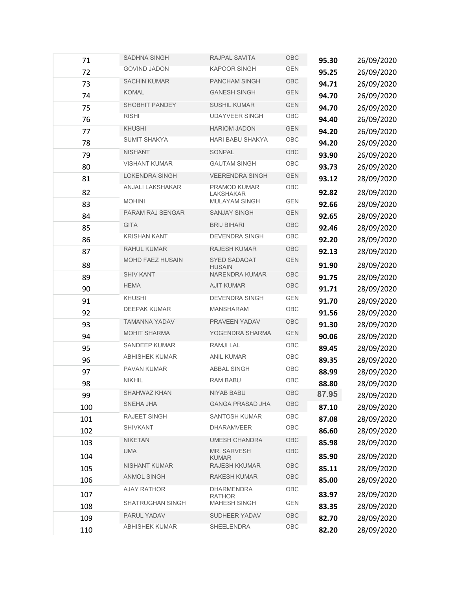| 71         | <b>SADHNA SINGH</b>     | RAJPAL SAVITA                        | OBC        | 95.30          | 26/09/2020               |
|------------|-------------------------|--------------------------------------|------------|----------------|--------------------------|
| 72         | <b>GOVIND JADON</b>     | <b>KAPOOR SINGH</b>                  | <b>GEN</b> | 95.25          | 26/09/2020               |
| 73         | <b>SACHIN KUMAR</b>     | PANCHAM SINGH                        | OBC        | 94.71          | 26/09/2020               |
| 74         | KOMAL                   | <b>GANESH SINGH</b>                  | <b>GEN</b> | 94.70          | 26/09/2020               |
| 75         | <b>SHOBHIT PANDEY</b>   | <b>SUSHIL KUMAR</b>                  | <b>GEN</b> | 94.70          | 26/09/2020               |
| 76         | <b>RISHI</b>            | <b>UDAYVEER SINGH</b>                | OBC        | 94.40          | 26/09/2020               |
| 77         | <b>KHUSHI</b>           | <b>HARIOM JADON</b>                  | <b>GEN</b> | 94.20          | 26/09/2020               |
| 78         | <b>SUMIT SHAKYA</b>     | HARI BABU SHAKYA                     | OBC        | 94.20          | 26/09/2020               |
| 79         | <b>NISHANT</b>          | SONPAL                               | OBC        | 93.90          | 26/09/2020               |
| 80         | <b>VISHANT KUMAR</b>    | <b>GAUTAM SINGH</b>                  | OBC        | 93.73          | 26/09/2020               |
| 81         | <b>LOKENDRA SINGH</b>   | <b>VEERENDRA SINGH</b>               | <b>GEN</b> | 93.12          | 28/09/2020               |
| 82         | <b>ANJALI LAKSHAKAR</b> | PRAMOD KUMAR<br><b>LAKSHAKAR</b>     | OBC        | 92.82          | 28/09/2020               |
| 83         | <b>MOHINI</b>           | MULAYAM SINGH                        | <b>GEN</b> | 92.66          | 28/09/2020               |
| 84         | <b>PARAM RAJ SENGAR</b> | <b>SANJAY SINGH</b>                  | <b>GEN</b> | 92.65          | 28/09/2020               |
| 85         | <b>GITA</b>             | <b>BRIJ BIHARI</b>                   | OBC        | 92.46          | 28/09/2020               |
| 86         | <b>KRISHAN KANT</b>     | <b>DEVENDRA SINGH</b>                | OBC        | 92.20          | 28/09/2020               |
| 87         | RAHUL KUMAR             | <b>RAJESH KUMAR</b>                  | OBC        | 92.13          | 28/09/2020               |
| 88         | <b>MOHD FAEZ HUSAIN</b> | SYED SADAQAT<br><b>HUSAIN</b>        | <b>GEN</b> | 91.90          | 28/09/2020               |
| 89         | <b>SHIV KANT</b>        | NARENDRA KUMAR                       | OBC        | 91.75          | 28/09/2020               |
| 90         | <b>HEMA</b>             | <b>AJIT KUMAR</b>                    | OBC        | 91.71          | 28/09/2020               |
| 91         | KHUSHI                  | DEVENDRA SINGH                       | <b>GEN</b> | 91.70          | 28/09/2020               |
| 92         | <b>DEEPAK KUMAR</b>     | <b>MANSHARAM</b>                     | OBC        | 91.56          | 28/09/2020               |
| 93         | <b>TAMANNA YADAV</b>    | PRAVEEN YADAV                        | OBC        | 91.30          | 28/09/2020               |
| 94         | <b>MOHIT SHARMA</b>     | YOGENDRA SHARMA                      | <b>GEN</b> | 90.06          | 28/09/2020               |
| 95         | <b>SANDEEP KUMAR</b>    | <b>RAMJILAL</b>                      | OBC        | 89.45          | 28/09/2020               |
| 96         | <b>ABHISHEK KUMAR</b>   | ANIL KUMAR                           | OBC        | 89.35          | 28/09/2020               |
| 97         | PAVAN KUMAR             | ABBAL SINGH                          | OBC        | 88.99          | 28/09/2020               |
| 98         | <b>NIKHIL</b>           | <b>RAM BABU</b>                      | OBC        | 88.80          | 28/09/2020               |
| 99         | SHAHWAZ KHAN            | <b>NIYAB BABU</b>                    | OBC        | 87.95          | 28/09/2020               |
| 100        | SNEHA JHA               | <b>GANGA PRASAD JHA</b>              | OBC        | 87.10          | 28/09/2020               |
| 101        | RAJEET SINGH            | SANTOSH KUMAR                        | OBC        | 87.08          | 28/09/2020               |
| 102        | <b>SHIVKANT</b>         | <b>DHARAMVEER</b>                    | OBC        | 86.60          | 28/09/2020               |
| 103        | <b>NIKETAN</b>          | <b>UMESH CHANDRA</b>                 | OBC        | 85.98          | 28/09/2020               |
| 104        | <b>UMA</b>              | <b>MR. SARVESH</b><br><b>KUMAR</b>   | OBC        | 85.90          | 28/09/2020               |
| 105        | <b>NISHANT KUMAR</b>    | <b>RAJESH KKUMAR</b>                 | OBC        | 85.11          | 28/09/2020               |
| 106        | <b>ANMOL SINGH</b>      | <b>RAKESH KUMAR</b>                  | OBC        | 85.00          | 28/09/2020               |
| 107        | <b>AJAY RATHOR</b>      | DHARMENDRA                           | OBC        | 83.97          | 28/09/2020               |
|            | SHATRUGHAN SINGH        | <b>RATHOR</b><br><b>MAHESH SINGH</b> | <b>GEN</b> |                |                          |
| 108<br>109 | PARUL YADAV             | SUDHEER YADAV                        | OBC        | 83.35<br>82.70 | 28/09/2020               |
| 110        | <b>ABHISHEK KUMAR</b>   | SHEELENDRA                           | OBC        | 82.20          | 28/09/2020<br>28/09/2020 |
|            |                         |                                      |            |                |                          |